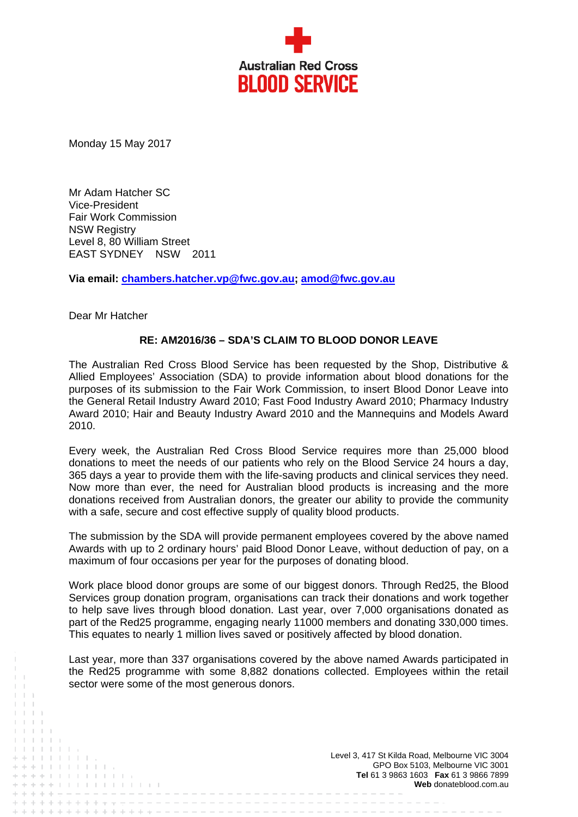

Monday 15 May 2017

Mr Adam Hatcher SC Vice-President Fair Work Commission **NSW Registry** Level 8, 80 William Street EAST SYDNEY NSW 2011

**Via email: chambers.hatcher.vp@fwc.gov.au; amod@fwc.gov.au** 

Dear Mr Hatcher

. . . . . . . . . . . . . .

and and and a

## **RE: AM2016/36 – SDA'S CLAIM TO BLOOD DONOR LEAVE**

The Australian Red Cross Blood Service has been requested by the Shop, Distributive & Allied Employees' Association (SDA) to provide information about blood donations for the purposes of its submission to the Fair Work Commission, to insert Blood Donor Leave into the General Retail Industry Award 2010; Fast Food Industry Award 2010; Pharmacy Industry Award 2010; Hair and Beauty Industry Award 2010 and the Mannequins and Models Award 2010.

Every week, the Australian Red Cross Blood Service requires more than 25,000 blood donations to meet the needs of our patients who rely on the Blood Service 24 hours a day, 365 days a year to provide them with the life-saving products and clinical services they need. Now more than ever, the need for Australian blood products is increasing and the more donations received from Australian donors, the greater our ability to provide the community with a safe, secure and cost effective supply of quality blood products.

The submission by the SDA will provide permanent employees covered by the above named Awards with up to 2 ordinary hours' paid Blood Donor Leave, without deduction of pay, on a maximum of four occasions per year for the purposes of donating blood.

Work place blood donor groups are some of our biggest donors. Through Red25, the Blood Services group donation program, organisations can track their donations and work together to help save lives through blood donation. Last year, over 7,000 organisations donated as part of the Red25 programme, engaging nearly 11000 members and donating 330,000 times. This equates to nearly 1 million lives saved or positively affected by blood donation.

Last year, more than 337 organisations covered by the above named Awards participated in the Red25 programme with some 8,882 donations collected. Employees within the retail sector were some of the most generous donors.

> Level 3, 417 St Kilda Road, Melbourne VIC 3004 GPO Box 5103, Melbourne VIC 3001 **Tel** 61 3 9863 1603 **Fax** 61 3 9866 7899 **Web** donateblood.com.au